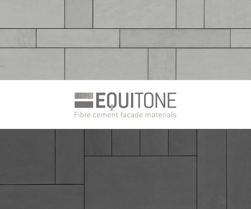



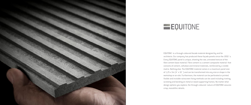



EQUITONE is a through-coloured facade material designed by and for architects. Our company has produced these façade panels since the 1950´s. Every EQUITONE panel is unique, showing the raw, untreated texture of the fibre cement base material. Fibre cement is a cement composite material that consists of cement, cellulose and mineral materials, reinforced by a visible matrix. Nothing else. The EQUITONE material comes in a maximum panel size of 1,25 x 3m (4´x 10´) and can be transformed into any size or shape in the workshop or on-site. Furthermore, the material can be perforated or printed. Visible and invisible rainscreen fixing methods can be used including riveting, screwing and bonding on metal or wood supporting frames. No matter what design options you explore, the through-coloured nature of EQUITONE assures crisp, monolithic details.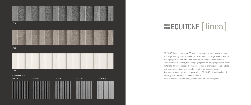



EQUITONE [linea] is a unique 3D shaped, through-coloured facade material that plays with light and shadow. EQUITONE [linea] displays a linear texture that highlights the raw inner texture of the core fibre cement material. Every moment of the day, the changing angle of the daylight gives the facade material a different aspect. The material comes in a large panel size and can be transformed into any size or shape in the workshop or on site. No matter what design options you explore, EQUITONE's through-coloured nature guarantees crisp, monolithic details. Both visible and invisible fixing options exist for EQUITONE [linea].

## EQUITONE [linea]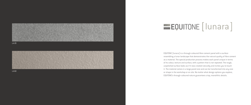



EQUITONE [lunara] is a through-coloured fibre cement panel with a surface resembling a lunar landscape that demonstrates the natural quality of fibre cement as a material. The special production process makes each panel unique in terms of its colour, texture and surface, with a pattern that is not repeated. The rough, unpolished surface looks as if it was created naturally and invites you to touch it. The material comes in a large panel size and can be transformed into any size or shape in the workshop or on site. No matter what design options you explore, EQUITONE's through-coloured nature guarantees crisp, monolithic details.

## **LQUITONE** [ lunara ]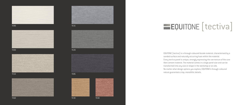### TE00



TE90







### TE20

### TE10 TE10 TE35 STATISTICS IN THE STATISTICS IN THE STATISTICS IN THE STATISTICS IN THE STATISTICS IN THE STATISTICS IN THE STATISTICS IN THE STATISTICS IN THE STATISTICS IN THE STATISTICS IN THE STATISTICS IN THE STATISTIC





EQUITONE [tectiva] is a through-coloured facade material, characterised by a sanded surface and naturally occurring hues within the material. Every tectiva panel is unique, strongly expressing the raw texture of the core fibre cement material. The material comes in a large panel size and can be transformed into any size or shape in the workshop or on site. No matter what design options you explore, EQUITONE's through-coloured nature guarantees crisp, monolithic details.

## EQUITONE [tectiva]

### TE15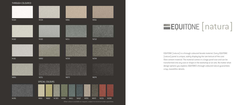EQUITONE [natura] is a through-coloured facade material. Every EQUITONE [natura] panel is unique, subtly displaying the raw texture of the core fibre cement material. The material comes in a large panel size and can be transformed into any size or shape in the workshop or on site. No matter what design options you explore, EQUITONE's through-coloured nature guarantees crisp, monolithic details.

### THROUGH-COLOURED



### **EQUITONE** [natura]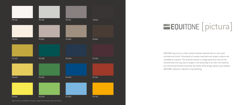

Other colours available on request, subject to minimum order quantities.

# **EQUITONE** [pictura]

EQUITONE [pictura] is a fibre cement facade material with an ultra matt architectural finish. Thousands of custom-matched matt project colours are available on request. The material comes in a large panel size and can be transformed into any size or shape in the workshop or on site. The material can also be perforated or printed. No matter what design options you explore, EQUITONE material is ideal for crisp detailing.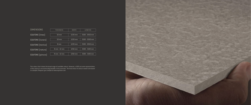| <b>DIMENSIONS</b>  | <b>THICKNESS</b>   | WIDTH   | LENGTHS          |
|--------------------|--------------------|---------|------------------|
|                    |                    |         |                  |
| EQUITONE [linea]   | $10 \,\mathrm{mm}$ | 1220 mm | 2500 - 3050 mm   |
|                    |                    |         |                  |
| EQUITONE [lunara]  | $10 \text{ mm}$    | 1220 mm | $2500 - 3050$ mm |
|                    |                    |         |                  |
| EQUITONE [tectiva] | $8 \text{ mm}$     | 1220 mm | 2500 - 3050 mm   |
|                    |                    |         |                  |
| EQUITONE [natura]  | 8 mm - 12 mm       | 1250 mm | 2500 - 3100 mm   |
|                    |                    |         |                  |
| EQUITONE [pictura] | 8 mm - 12 mm       | 1250 mm | 2500 - 3100 mm   |
|                    |                    |         |                  |

This colour chart shows the broad range of available colours. However, a 100% accurate representation of the colours is not technically feasible in this overview. The final choice of colours needs to be based on samples. Request your sample at www.equitone.com.